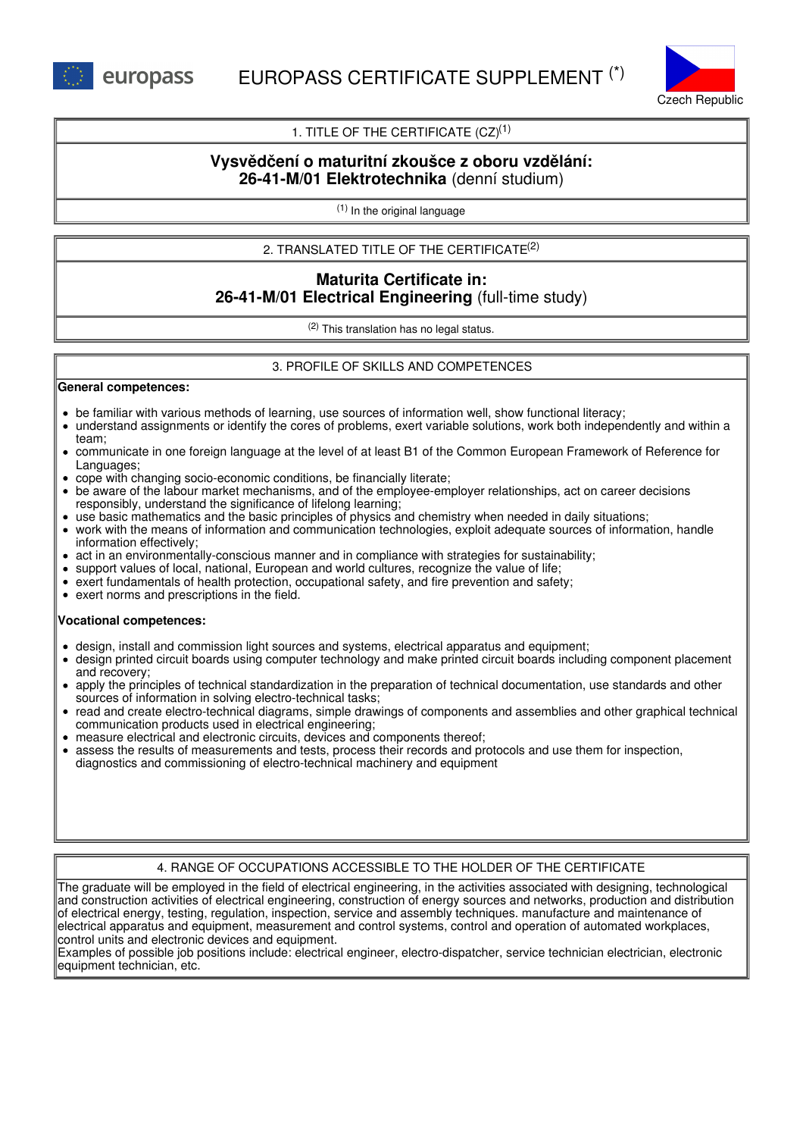

## 1. TITLE OF THE CERTIFICATE  $(CZ)^{(1)}$

# **Vysvědčení o maturitní zkoušce z oboru vzdělání: 26-41-M/01 Elektrotechnika** (denní studium)

(1) In the original language

## 2. TRANSLATED TITLE OF THE CERTIFICATE (2)

# **Maturita Certificate in: 26-41-M/01 Electrical Engineering** (full-time study)

(2) This translation has no legal status.

### 3. PROFILE OF SKILLS AND COMPETENCES

#### **General competences:**

- be familiar with various methods of learning, use sources of information well, show functional literacy;
- understand assignments or identify the cores of problems, exert variable solutions, work both independently and within a team;
- communicate in one foreign language at the level of at least B1 of the Common European Framework of Reference for Languages;
- cope with changing socio-economic conditions, be financially literate;
- be aware of the labour market mechanisms, and of the employee-employer relationships, act on career decisions responsibly, understand the significance of lifelong learning;
- use basic mathematics and the basic principles of physics and chemistry when needed in daily situations;
- work with the means of information and communication technologies, exploit adequate sources of information, handle information effectively;
- act in an environmentally-conscious manner and in compliance with strategies for sustainability;
- support values of local, national, European and world cultures, recognize the value of life;
- exert fundamentals of health protection, occupational safety, and fire prevention and safety;
- exert norms and prescriptions in the field.

#### **Vocational competences:**

- design, install and commission light sources and systems, electrical apparatus and equipment;
- design printed circuit boards using computer technology and make printed circuit boards including component placement and recovery;
- apply the principles of technical standardization in the preparation of technical documentation, use standards and other sources of information in solving electro-technical tasks;
- read and create electro-technical diagrams, simple drawings of components and assemblies and other graphical technical communication products used in electrical engineering;
- measure electrical and electronic circuits, devices and components thereof;
- assess the results of measurements and tests, process their records and protocols and use them for inspection, diagnostics and commissioning of electro-technical machinery and equipment

### 4. RANGE OF OCCUPATIONS ACCESSIBLE TO THE HOLDER OF THE CERTIFICATE

The graduate will be employed in the field of electrical engineering, in the activities associated with designing, technological and construction activities of electrical engineering, construction of energy sources and networks, production and distribution of electrical energy, testing, regulation, inspection, service and assembly techniques. manufacture and maintenance of electrical apparatus and equipment, measurement and control systems, control and operation of automated workplaces, control units and electronic devices and equipment.

Examples of possible job positions include: electrical engineer, electro-dispatcher, service technician electrician, electronic equipment technician, etc.